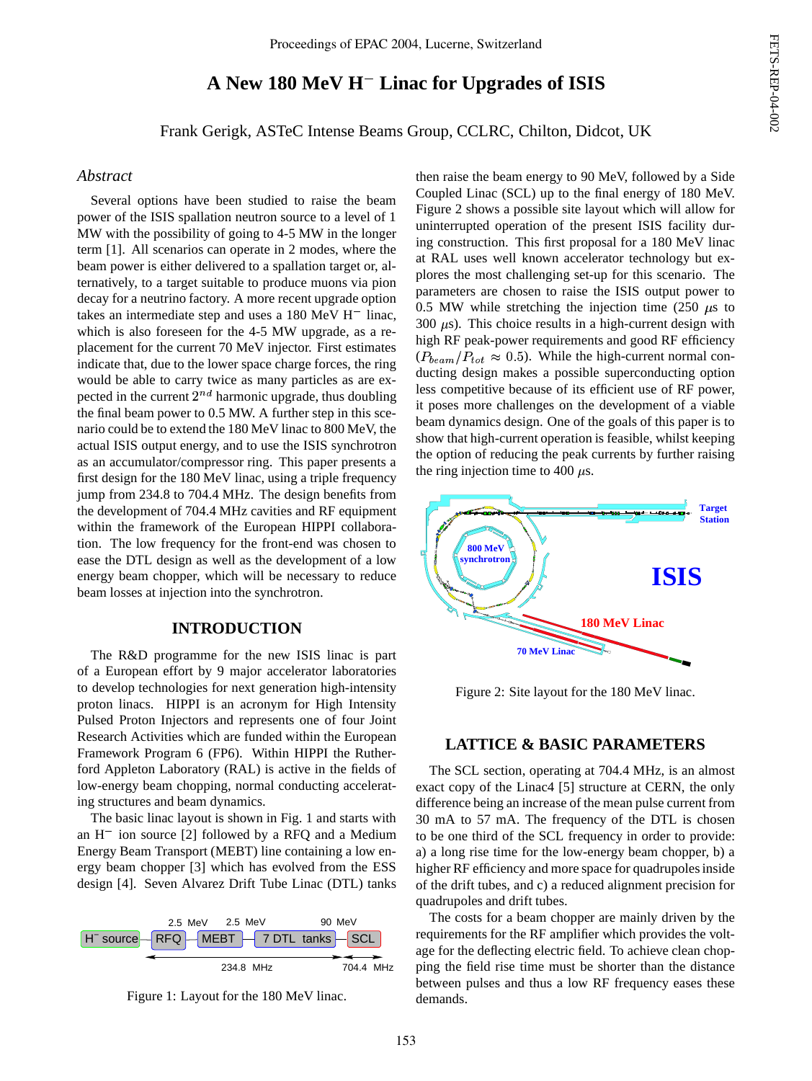# FETS-REP-04-002 FETS-REP-04-002

## **A New 180 MeV H Linac for Upgrades of ISIS**

Frank Gerigk, ASTeC Intense Beams Group, CCLRC, Chilton, Didcot, UK

## *Abstract*

Several options have been studied to raise the beam power of the ISIS spallation neutron source to a level of 1 MW with the possibility of going to 4-5 MW in the longer term [1]. All scenarios can operate in 2 modes, where the beam power is either delivered to a spallation target or, alternatively, to a target suitable to produce muons via pion decay for a neutrino factory. A more recent upgrade option takes an intermediate step and uses a  $180 \text{ MeV H}^-$  linac, which is also foreseen for the 4-5 MW upgrade, as a replacement for the current 70 MeV injector. First estimates indicate that, due to the lower space charge forces, the ring would be able to carry twice as many particles as are expected in the current  $2^{nd}$  harmonic upgrade, thus doubling the final beam power to 0.5 MW. A further step in this scenario could be to extend the 180 MeV linac to 800 MeV, the actual ISIS output energy, and to use the ISIS synchrotron as an accumulator/compressor ring. This paper presents a first design for the 180 MeV linac, using a triple frequency jump from 234.8 to 704.4 MHz. The design benefits from the development of 704.4 MHz cavities and RF equipment within the framework of the European HIPPI collaboration. The low frequency for the front-end was chosen to ease the DTL design as well as the development of a low energy beam chopper, which will be necessary to reduce beam losses at injection into the synchrotron.

### **INTRODUCTION**

The R&D programme for the new ISIS linac is part of a European effort by 9 major accelerator laboratories to develop technologies for next generation high-intensity proton linacs. HIPPI is an acronym for High Intensity Pulsed Proton Injectors and represents one of four Joint Research Activities which are funded within the European Framework Program 6 (FP6). Within HIPPI the Rutherford Appleton Laboratory (RAL) is active in the fields of low-energy beam chopping, normal conducting accelerating structures and beam dynamics.

The basic linac layout is shown in Fig. 1 and starts with an H ion source [2] followed by a RFQ and a Medium Energy Beam Transport (MEBT) line containing a low energy beam chopper [3] which has evolved from the ESS design [4]. Seven Alvarez Drift Tube Linac (DTL) tanks





then raise the beam energy to 90 MeV, followed by a Side Coupled Linac (SCL) up to the final energy of 180 MeV. Figure 2 shows a possible site layout which will allow for uninterrupted operation of the present ISIS facility during construction. This first proposal for a 180 MeV linac at RAL uses well known accelerator technology but explores the most challenging set-up for this scenario. The parameters are chosen to raise the ISIS output power to 0.5 MW while stretching the injection time (250  $\mu$ s to 300  $\mu$ s). This choice results in a high-current design with high RF peak-power requirements and good RF efficiency  $(P_{beam}/P_{tot} \approx 0.5)$ . While the high-current normal conducting design makes a possible superconducting option less competitive because of its efficient use of RF power, it poses more challenges on the development of a viable beam dynamics design. One of the goals of this paper is to show that high-current operation is feasible, whilst keeping the option of reducing the peak currents by further raising the ring injection time to 400  $\mu$ s.



Figure 2: Site layout for the 180 MeV linac.

## **LATTICE & BASIC PARAMETERS**

The SCL section, operating at 704.4 MHz, is an almost exact copy of the Linac4 [5] structure at CERN, the only difference being an increase of the mean pulse current from 30 mA to 57 mA. The frequency of the DTL is chosen to be one third of the SCL frequency in order to provide: a) a long rise time for the low-energy beam chopper, b) a higher RF efficiency and more space for quadrupoles inside of the drift tubes, and c) a reduced alignment precision for quadrupoles and drift tubes.

The costs for a beam chopper are mainly driven by the requirements for the RF amplifier which provides the voltage for the deflecting electric field. To achieve clean chopping the field rise time must be shorter than the distance between pulses and thus a low RF frequency eases these demands.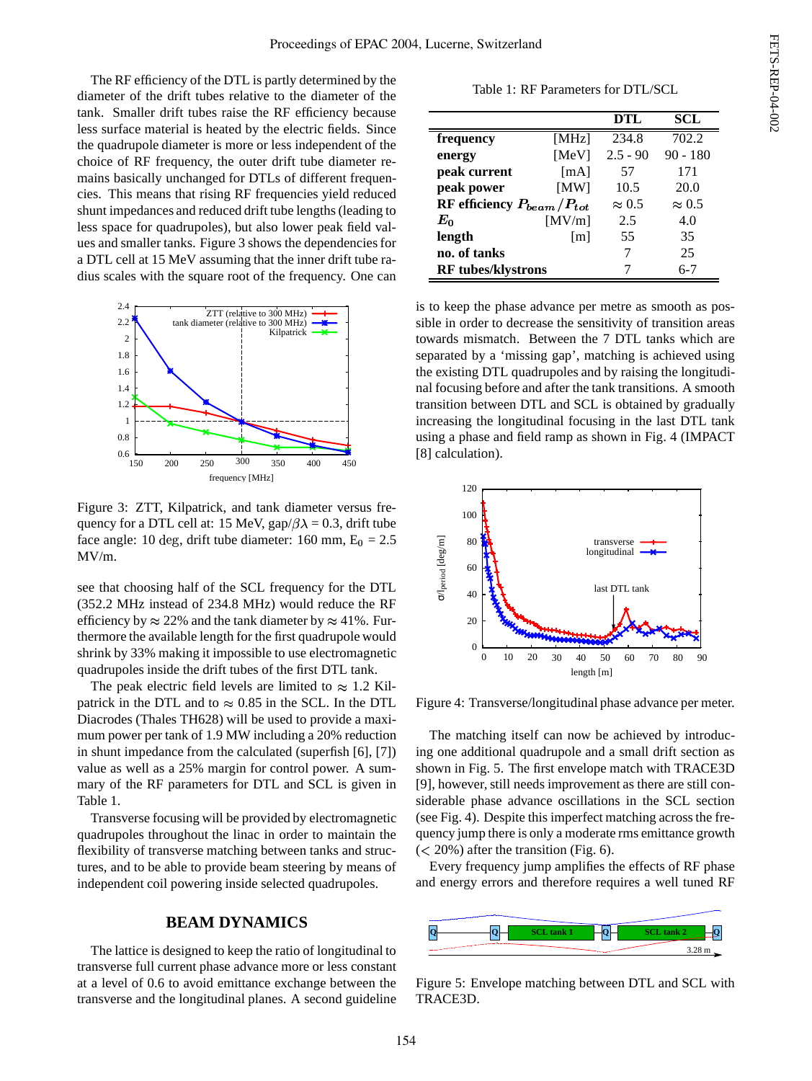The RF efficiency of the DTL is partly determined by the diameter of the drift tubes relative to the diameter of the tank. Smaller drift tubes raise the RF efficiency because less surface material is heated by the electric fields. Since the quadrupole diameter is more or less independent of the choice of RF frequency, the outer drift tube diameter remains basically unchanged for DTLs of different frequencies. This means that rising RF frequencies yield reduced shunt impedances and reduced drift tube lengths(leading to less space for quadrupoles), but also lower peak field values and smaller tanks. Figure 3 shows the dependenciesfor a DTL cell at 15 MeV assuming that the inner drift tube radius scales with the square root of the frequency. One can



Figure 3: ZTT, Kilpatrick, and tank diameter versus frequency for a DTL cell at: 15 MeV, gap/ $\beta \lambda = 0.3$ , drift tube face angle: 10 deg, drift tube diameter: 160 mm,  $E_0 = 2.5$ MV/m.

see that choosing half of the SCL frequency for the DTL (352.2 MHz instead of 234.8 MHz) would reduce the RF efficiency by  $\approx 22\%$  and the tank diameter by  $\approx 41\%$ . Furthermore the available length for the first quadrupole would shrink by 33% making it impossible to use electromagnetic quadrupoles inside the drift tubes of the first DTL tank.

The peak electric field levels are limited to  $\approx 1.2$  Kilpatrick in the DTL and to  $\approx 0.85$  in the SCL. In the DTL Diacrodes (Thales TH628) will be used to provide a maximum power per tank of 1.9 MW including a 20% reduction in shunt impedance from the calculated (superfish [6], [7]) value as well as a 25% margin for control power. A summary of the RF parameters for DTL and SCL is given in Table 1.

Transverse focusing will be provided by electromagnetic quadrupoles throughout the linac in order to maintain the flexibility of transverse matching between tanks and structures, and to be able to provide beam steering by means of independent coil powering inside selected quadrupoles.

## **BEAM DYNAMICS**

The lattice is designed to keep the ratio of longitudinal to transverse full current phase advance more or less constant at a level of 0.6 to avoid emittance exchange between the transverse and the longitudinal planes. A second guideline

Table 1: RF Parameters for DTL/SCL

|                                  |                   | DTL           | <b>SCL</b>    |
|----------------------------------|-------------------|---------------|---------------|
| frequency                        | [ $MHz$ ]         | 234.8         | 702.2         |
| energy                           | [MeV]             | $2.5 - 90$    | $90 - 180$    |
| peak current                     | [mA]              | 57            | 171           |
| peak power                       | [MW]              | 10.5          | 20.0          |
| RF efficiency $P_{beam}/P_{tot}$ |                   | $\approx 0.5$ | $\approx 0.5$ |
| $E_0$                            | [MV/m]            | 2.5           | 4.0           |
| length                           | $\lceil m \rceil$ | 55            | 35            |
| no. of tanks                     |                   |               | 25            |
| <b>RF</b> tubes/klystrons        |                   |               | $6 - 7$       |

is to keep the phase advance per metre as smooth as possible in order to decrease the sensitivity of transition areas towards mismatch. Between the 7 DTL tanks which are separated by a 'missing gap', matching is achieved using the existing DTL quadrupoles and by raising the longitudinal focusing before and after the tank transitions. A smooth transition between DTL and SCL is obtained by gradually increasing the longitudinal focusing in the last DTL tank using a phase and field ramp as shown in Fig. 4 (IMPACT [8] calculation).



Figure 4: Transverse/longitudinal phase advance per meter.

The matching itself can now be achieved by introducing one additional quadrupole and a small drift section as shown in Fig. 5. The first envelope match with TRACE3D [9], however, still needs improvement as there are still considerable phase advance oscillations in the SCL section (see Fig. 4). Despite this imperfect matching across the frequency jump there is only a moderate rms emittance growth  $(< 20\%)$  after the transition (Fig. 6).

Every frequency jump amplifies the effects of RF phase and energy errors and therefore requires a well tuned RF



Figure 5: Envelope matching between DTL and SCL with TRACE3D.